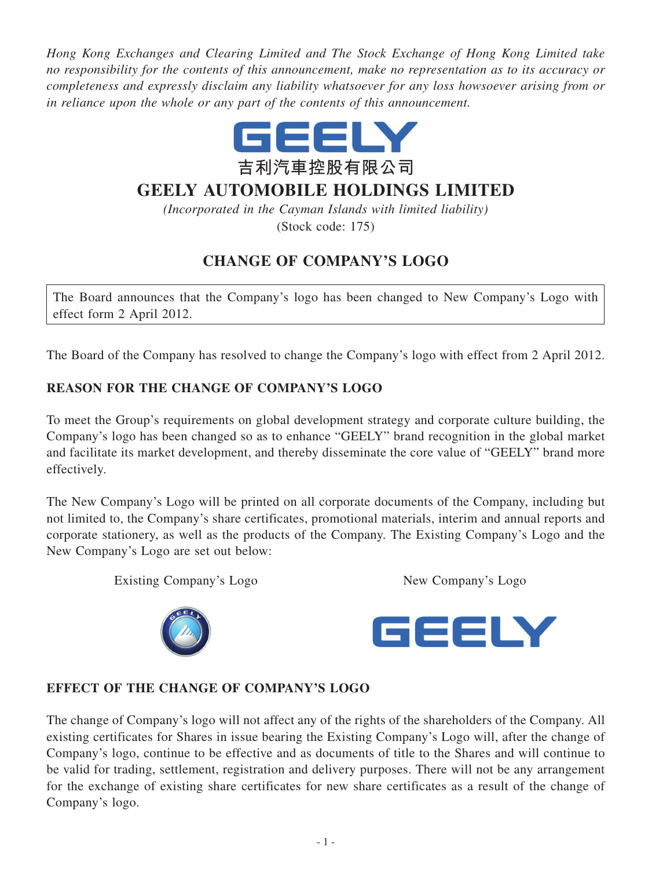*Hong Kong Exchanges and Clearing Limited and The Stock Exchange of Hong Kong Limited take no responsibility for the contents of this announcement, make no representation as to its accuracy or completeness and expressly disclaim any liability whatsoever for any loss howsoever arising from or in reliance upon the whole or any part of the contents of this announcement.*



# **GEELY AUTOMOBILE HOLDINGS LIMITED**

*(Incorporated in the Cayman Islands with limited liability)* (Stock code: 175)

## **CHANGE OF COMPANY'S LOGO**

The Board announces that the Company's logo has been changed to New Company's Logo with effect form 2 April 2012.

The Board of the Company has resolved to change the Company's logo with effect from 2 April 2012.

### **REASON FOR THE CHANGE OF COMPANY'S LOGO**

To meet the Group's requirements on global development strategy and corporate culture building, the Company's logo has been changed so as to enhance "GEELY" brand recognition in the global market and facilitate its market development, and thereby disseminate the core value of "GEELY" brand more effectively.

The New Company's Logo will be printed on all corporate documents of the Company, including but not limited to, the Company's share certificates, promotional materials, interim and annual reports and corporate stationery, as well as the products of the Company. The Existing Company's Logo and the New Company's Logo are set out below:

Existing Company's Logo New Company's Logo





#### **EFFECT OF THE CHANGE OF COMPANY'S LOGO**

The change of Company's logo will not affect any of the rights of the shareholders of the Company. All existing certificates for Shares in issue bearing the Existing Company's Logo will, after the change of Company's logo, continue to be effective and as documents of title to the Shares and will continue to be valid for trading, settlement, registration and delivery purposes. There will not be any arrangement for the exchange of existing share certificates for new share certificates as a result of the change of Company's logo.